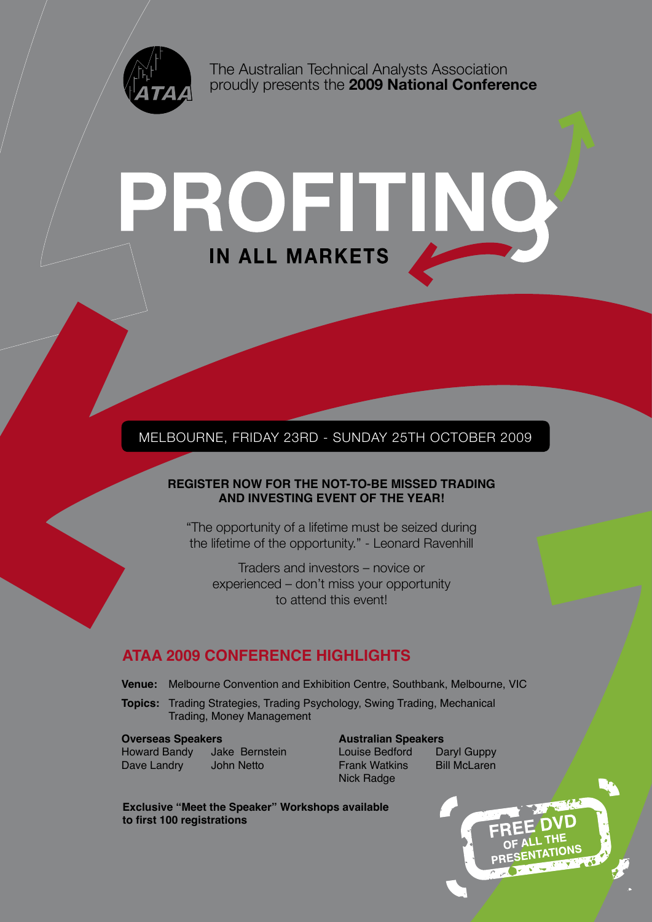

The Australian Technical Analysts Association proudly presents the **2009 National Conference**

# ROFITNO

# MELBOURNE, FRIDAY 23RD - SUNDAY 25TH OCTOBER 2009 Melbourne, Friday 23rd - Sunday 25th October 2009

#### **REGISTER NOW FOR THE NOT-TO-BE MISSED TRADING AND INVESTING EVENT OF THE YEAR!**

"The opportunity of a lifetime must be seized during the lifetime of the opportunity." - Leonard Ravenhill

Traders and investors – novice or experienced – don't miss your opportunity to attend this event!

# **ATAA 2009 CONFERENCE HIGHLIGHTS**

- **Venue:** Melbourne Convention and Exhibition Centre, Southbank, Melbourne, VIC
- **Topics:** Trading Strategies, Trading Psychology, Swing Trading, Mechanical Trading, Money Management

Howard Bandy Jake Bernstein Louise Bedford Daryl Guppy Dave Landry John Netto **Frank Watkins** Bill McLaren

#### **Overseas Speakers Australian Speakers**

Nick Radge

**Exclusive "Meet the Speaker" Workshops available to first 100 registrations**

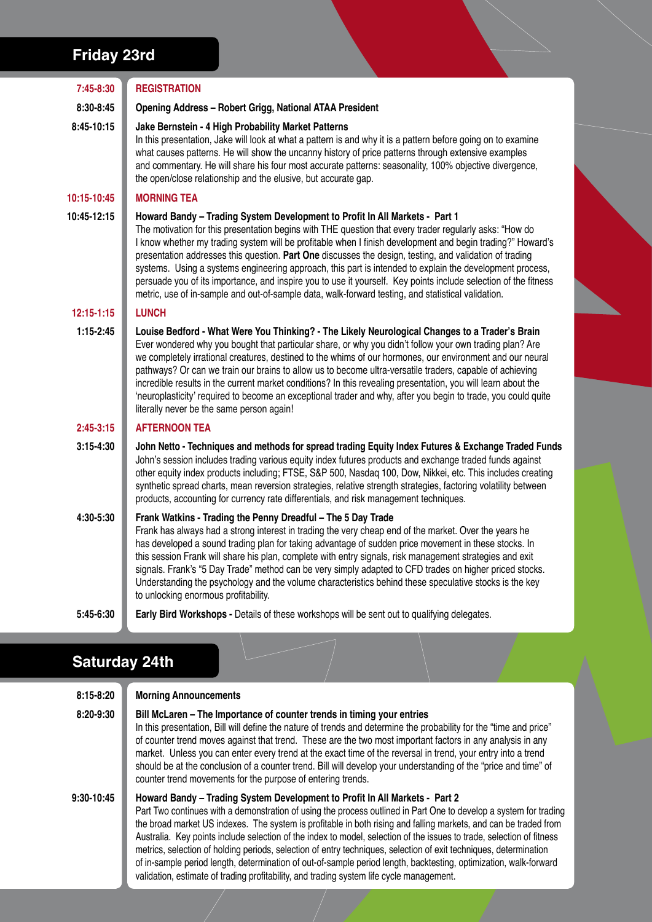# **Friday 23rd**

| 7:45-8:30            | <b>REGISTRATION</b>                                                                                                                                                                                                                                                                                                                                                                                                                                                                                                                                                                                                                                                                                                                                  |
|----------------------|------------------------------------------------------------------------------------------------------------------------------------------------------------------------------------------------------------------------------------------------------------------------------------------------------------------------------------------------------------------------------------------------------------------------------------------------------------------------------------------------------------------------------------------------------------------------------------------------------------------------------------------------------------------------------------------------------------------------------------------------------|
| 8:30-8:45            | <b>Opening Address - Robert Grigg, National ATAA President</b>                                                                                                                                                                                                                                                                                                                                                                                                                                                                                                                                                                                                                                                                                       |
| 8:45-10:15           | Jake Bernstein - 4 High Probability Market Patterns<br>In this presentation, Jake will look at what a pattern is and why it is a pattern before going on to examine<br>what causes patterns. He will show the uncanny history of price patterns through extensive examples<br>and commentary. He will share his four most accurate patterns: seasonality, 100% objective divergence,<br>the open/close relationship and the elusive, but accurate gap.                                                                                                                                                                                                                                                                                               |
| 10:15-10:45          | <b>MORNING TEA</b>                                                                                                                                                                                                                                                                                                                                                                                                                                                                                                                                                                                                                                                                                                                                   |
| 10:45-12:15          | Howard Bandy - Trading System Development to Profit In All Markets - Part 1<br>The motivation for this presentation begins with THE question that every trader regularly asks: "How do<br>I know whether my trading system will be profitable when I finish development and begin trading?" Howard's<br>presentation addresses this question. Part One discusses the design, testing, and validation of trading<br>systems. Using a systems engineering approach, this part is intended to explain the development process,<br>persuade you of its importance, and inspire you to use it yourself. Key points include selection of the fitness<br>metric, use of in-sample and out-of-sample data, walk-forward testing, and statistical validation. |
| $12:15 - 1:15$       | <b>LUNCH</b>                                                                                                                                                                                                                                                                                                                                                                                                                                                                                                                                                                                                                                                                                                                                         |
| $1:15-2:45$          | Louise Bedford - What Were You Thinking? - The Likely Neurological Changes to a Trader's Brain<br>Ever wondered why you bought that particular share, or why you didn't follow your own trading plan? Are<br>we completely irrational creatures, destined to the whims of our hormones, our environment and our neural<br>pathways? Or can we train our brains to allow us to become ultra-versatile traders, capable of achieving<br>incredible results in the current market conditions? In this revealing presentation, you will learn about the<br>'neuroplasticity' required to become an exceptional trader and why, after you begin to trade, you could quite<br>literally never be the same person again!                                    |
| $2:45-3:15$          | <b>AFTERNOON TEA</b>                                                                                                                                                                                                                                                                                                                                                                                                                                                                                                                                                                                                                                                                                                                                 |
| $3:15 - 4:30$        | John Netto - Techniques and methods for spread trading Equity Index Futures & Exchange Traded Funds<br>John's session includes trading various equity index futures products and exchange traded funds against<br>other equity index products including; FTSE, S&P 500, Nasdaq 100, Dow, Nikkei, etc. This includes creating<br>synthetic spread charts, mean reversion strategies, relative strength strategies, factoring volatility between<br>products, accounting for currency rate differentials, and risk management techniques.                                                                                                                                                                                                              |
| 4:30-5:30            | Frank Watkins - Trading the Penny Dreadful - The 5 Day Trade<br>Frank has always had a strong interest in trading the very cheap end of the market. Over the years he<br>has developed a sound trading plan for taking advantage of sudden price movement in these stocks. In<br>this session Frank will share his plan, complete with entry signals, risk management strategies and exit<br>signals. Frank's "5 Day Trade" method can be very simply adapted to CFD trades on higher priced stocks.<br>Understanding the psychology and the volume characteristics behind these speculative stocks is the key<br>to unlocking enormous profitability.                                                                                               |
| 5:45-6:30            | Early Bird Workshops - Details of these workshops will be sent out to qualifying delegates.                                                                                                                                                                                                                                                                                                                                                                                                                                                                                                                                                                                                                                                          |
| <b>Saturday 24th</b> |                                                                                                                                                                                                                                                                                                                                                                                                                                                                                                                                                                                                                                                                                                                                                      |
| 8:15-8:20            | <b>Morning Announcements</b>                                                                                                                                                                                                                                                                                                                                                                                                                                                                                                                                                                                                                                                                                                                         |
| 8:20-9:30            | Bill McLaren - The Importance of counter trends in timing your entries<br>In this presentation, Bill will define the nature of trends and determine the probability for the "time and price"<br>of counter trend moves against that trend. These are the two most important factors in any analysis in any<br>market. Unless you can enter every trend at the exact time of the reversal in trend, your entry into a trend<br>should be at the conclusion of a counter trend. Bill will develop your understanding of the "price and time" of<br>counter trend movements for the purpose of entering trends.                                                                                                                                         |
| 9:30-10:45           | Howard Bandy - Trading System Development to Profit In All Markets - Part 2<br>Part Two continues with a demonstration of using the process outlined in Part One to develop a system for trading<br>hroad market LIS indoves. The ovetern is profitable in both riging and folling markets, and can be traded from                                                                                                                                                                                                                                                                                                                                                                                                                                   |

the broad market US indexes. The system is profitable in both rising and falling markets, and can be traded from Australia. Key points include selection of the index to model, selection of the issues to trade, selection of fitness metrics, selection of holding periods, selection of entry techniques, selection of exit techniques, determination of in-sample period length, determination of out-of-sample period length, backtesting, optimization, walk-forward validation, estimate of trading profitability, and trading system life cycle management.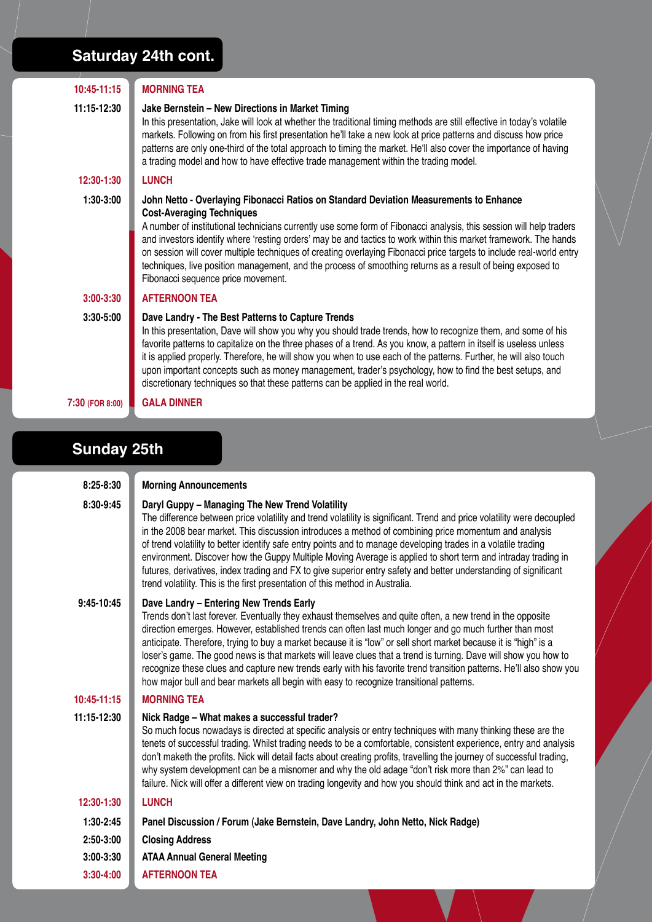# **Saturday 24th cont.**

| $10:45-11:15$      | <b>MORNING TEA</b>                                                                                                                                                                                                                                                                                                                                                                                                                                                                                                                                                                                                                                                                                                        |  |
|--------------------|---------------------------------------------------------------------------------------------------------------------------------------------------------------------------------------------------------------------------------------------------------------------------------------------------------------------------------------------------------------------------------------------------------------------------------------------------------------------------------------------------------------------------------------------------------------------------------------------------------------------------------------------------------------------------------------------------------------------------|--|
|                    |                                                                                                                                                                                                                                                                                                                                                                                                                                                                                                                                                                                                                                                                                                                           |  |
| 11:15-12:30        | Jake Bernstein - New Directions in Market Timing<br>In this presentation, Jake will look at whether the traditional timing methods are still effective in today's volatile<br>markets. Following on from his first presentation he'll take a new look at price patterns and discuss how price<br>patterns are only one-third of the total approach to timing the market. He'll also cover the importance of having<br>a trading model and how to have effective trade management within the trading model.                                                                                                                                                                                                                |  |
| 12:30-1:30         | <b>LUNCH</b>                                                                                                                                                                                                                                                                                                                                                                                                                                                                                                                                                                                                                                                                                                              |  |
| 1:30-3:00          | John Netto - Overlaying Fibonacci Ratios on Standard Deviation Measurements to Enhance<br><b>Cost-Averaging Techniques</b><br>A number of institutional technicians currently use some form of Fibonacci analysis, this session will help traders<br>and investors identify where 'resting orders' may be and tactics to work within this market framework. The hands<br>on session will cover multiple techniques of creating overlaying Fibonacci price targets to include real-world entry<br>techniques, live position management, and the process of smoothing returns as a result of being exposed to<br>Fibonacci sequence price movement.                                                                         |  |
| 3:00-3:30          | <b>AFTERNOON TEA</b>                                                                                                                                                                                                                                                                                                                                                                                                                                                                                                                                                                                                                                                                                                      |  |
| 3:30-5:00          | Dave Landry - The Best Patterns to Capture Trends<br>In this presentation, Dave will show you why you should trade trends, how to recognize them, and some of his<br>favorite patterns to capitalize on the three phases of a trend. As you know, a pattern in itself is useless unless<br>it is applied properly. Therefore, he will show you when to use each of the patterns. Further, he will also touch<br>upon important concepts such as money management, trader's psychology, how to find the best setups, and<br>discretionary techniques so that these patterns can be applied in the real world.                                                                                                              |  |
| 7:30 (FOR 8:00)    | <b>GALA DINNER</b>                                                                                                                                                                                                                                                                                                                                                                                                                                                                                                                                                                                                                                                                                                        |  |
|                    |                                                                                                                                                                                                                                                                                                                                                                                                                                                                                                                                                                                                                                                                                                                           |  |
| <b>Sunday 25th</b> |                                                                                                                                                                                                                                                                                                                                                                                                                                                                                                                                                                                                                                                                                                                           |  |
| 8:25-8:30          | <b>Morning Announcements</b>                                                                                                                                                                                                                                                                                                                                                                                                                                                                                                                                                                                                                                                                                              |  |
| 8:30-9:45          | Daryl Guppy - Managing The New Trend Volatility<br>The difference between price volatility and trend volatility is significant. Trend and price volatility were decoupled<br>in the 2008 bear market. This discussion introduces a method of combining price momentum and analysis<br>of trend volatility to better identify safe entry points and to manage developing trades in a volatile trading<br>environment. Discover how the Guppy Multiple Moving Average is applied to short term and intraday trading in<br>futures, derivatives, index trading and FX to give superior entry safety and better understanding of significant<br>trend volatility. This is the first presentation of this method in Australia. |  |
| 9:45-10:45         | Dave Landry - Entering New Trends Early<br>Trends don't last forever. Eventually they exhaust themselves and quite often, a new trend in the opposite<br>direction emerges. However, established trends can often last much longer and go much further than most<br>anticipate. Therefore, trying to buy a market because it is "low" or sell short market because it is "high" is a<br>loser's game. The good news is that markets will leave clues that a trend is turning. Dave will show you how to<br>recognize these clues and capture new trends early with his favorite trend transition patterns. He'll also show you<br>how major bull and bear markets all begin with easy to recognize transitional patterns. |  |
| 10:45-11:15        | <b>MORNING TEA</b>                                                                                                                                                                                                                                                                                                                                                                                                                                                                                                                                                                                                                                                                                                        |  |
| 11:15-12:30        | Nick Radge - What makes a successful trader?<br>So much focus nowadays is directed at specific analysis or entry techniques with many thinking these are the<br>tenets of successful trading. Whilst trading peeds to be a comfortable, consistent experience, entry and analysis                                                                                                                                                                                                                                                                                                                                                                                                                                         |  |

tenets of successful trading. Whilst trading needs to be a comfortable, consistent experience, entry and analysis don't maketh the profits. Nick will detail facts about creating profits, travelling the journey of successful trading, why system development can be a misnomer and why the old adage "don't risk more than 2%" can lead to failure. Nick will offer a different view on trading longevity and how you should think and act in the markets.

# **12:30-1:30 Lunch**

**1:30-2:45 Panel Discussion / Forum (Jake Bernstein, Dave Landry, John Netto, Nick Radge)**

- **2:50-3:00 Closing Address**
- **3:00-3:30 ATAA Annual General Meeting**
- **3:30-4:00 Afternoon Tea**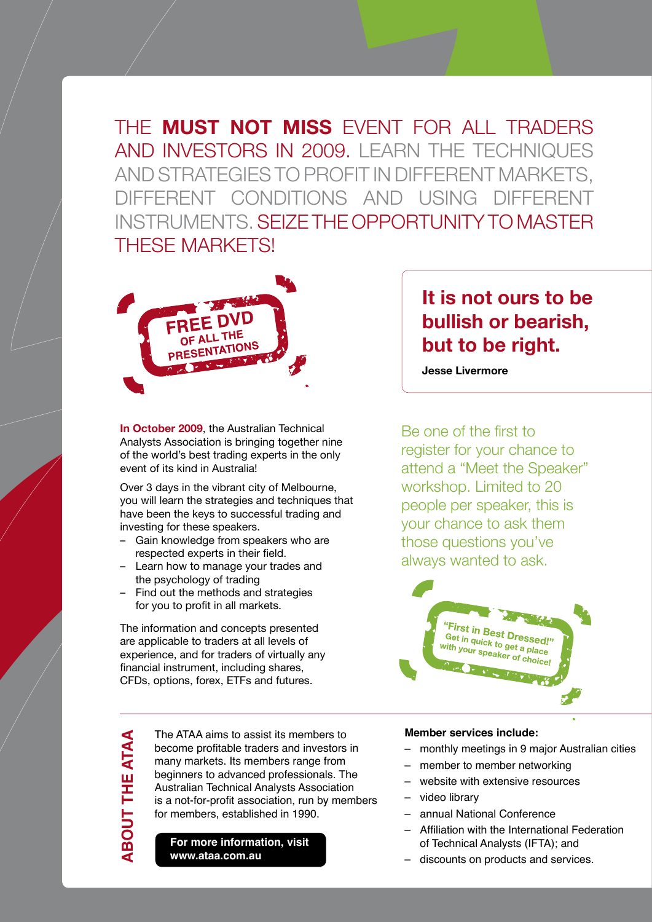THE **MUST NOT MISS** EVENT FOR ALL TRADERS AND INVESTORS IN 2009. LEARN THE TECHNIQUES and strategies to profit in different markets, different conditions and using different instruments. Seize the opportunity to master THESE MARKETS!



**In October 2009**, the Australian Technical Analysts Association is bringing together nine of the world's best trading experts in the only event of its kind in Australia!

Over 3 days in the vibrant city of Melbourne, you will learn the strategies and techniques that have been the keys to successful trading and investing for these speakers.

- Gain knowledge from speakers who are respected experts in their field.
- Learn how to manage your trades and the psychology of trading
- Find out the methods and strategies for you to profit in all markets.

The information and concepts presented are applicable to traders at all levels of experience, and for traders of virtually any financial instrument, including shares, CFDs, options, forex, ETFs and futures.

> The ATAA aims to assist its members to become profitable traders and investors in many markets. Its members range from beginners to advanced professionals. The Australian Technical Analysts Association is a not-for-profit association, run by members for members, established in 1990.

#### **For more information, visit www.ataa.com.au**

**BOUT THE ATAA** 

**UT THE ATAA**

# **It is not ours to be bullish or bearish, but to be right.**

**Jesse Livermore**

Be one of the first to register for your chance to attend a "Meet the Speaker" workshop. Limited to 20 people per speaker, this is your chance to ask them those questions you've always wanted to ask.



#### **Member services include:**

- monthly meetings in 9 major Australian cities
- member to member networking
- website with extensive resources
- video library
- annual National Conference
- Affiliation with the International Federation of Technical Analysts (IFTA); and
- discounts on products and services.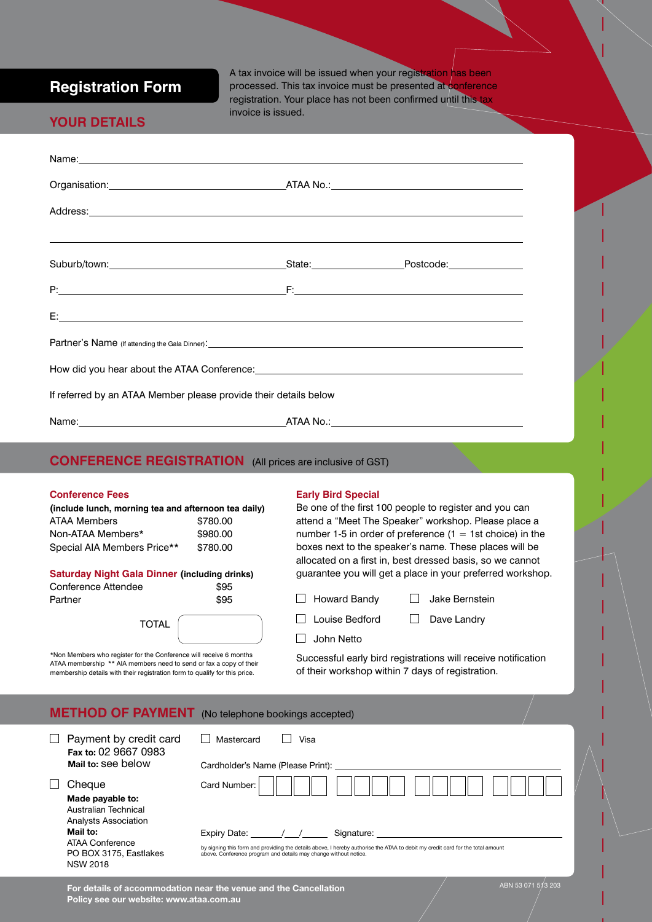## **Registration Form**

A tax invoice will be issued when your registration has been processed. This tax invoice must be presented at conference registration. Your place has not been confirmed until this tax invoice is issued.

### **Your Details**

| Name: <u>example and a series of the series of the series of the series of the series of the series of the series of the series of the series of the series of the series of the series of the series of the series of the serie</u> |  |
|--------------------------------------------------------------------------------------------------------------------------------------------------------------------------------------------------------------------------------------|--|
|                                                                                                                                                                                                                                      |  |
|                                                                                                                                                                                                                                      |  |
|                                                                                                                                                                                                                                      |  |
|                                                                                                                                                                                                                                      |  |
|                                                                                                                                                                                                                                      |  |
| <b>Partner's Name</b> (if attending the Gala Dinner):                                                                                                                                                                                |  |
|                                                                                                                                                                                                                                      |  |
| If referred by an ATAA Member please provide their details below                                                                                                                                                                     |  |
|                                                                                                                                                                                                                                      |  |
| <b>CONFERENCE REGISTRATION</b> (All prices are inclusive of GST)                                                                                                                                                                     |  |

#### **Conference Fees**

**(include lunch, morning tea and afternoon tea daily)** ATAA Members \$780.00 Non-ATAA Members\* \$980.00 Special AIA Members Price\*\* \$780.00

#### **Saturday Night Gala Dinner (including drinks)**

| Conference Attendee | \$95 |  |
|---------------------|------|--|
| Partner             | \$95 |  |

| TOTAL |  |
|-------|--|
|       |  |

\*Non Members who register for the Conference will receive 6 months ATAA membership \*\* AIA members need to send or fax a copy of their membership details with their registration form to qualify for this price.

#### **Early Bird Special**

Be one of the first 100 people to register and you can attend a "Meet The Speaker" workshop. Please place a number 1-5 in order of preference  $(1 = 1st$  choice) in the boxes next to the speaker's name. These places will be allocated on a first in, best dressed basis, so we cannot guarantee you will get a place in your preferred workshop.

□ Howard Bandy □ Jake Bernstein

 $\Box$  Louise Bedford  $\Box$  Dave Landry

 $\Box$  John Netto

Successful early bird registrations will receive notification of their workshop within 7 days of registration.

|  | <b>METHOD OF PAYMENT</b> (No telephone bookings accepted) |
|--|-----------------------------------------------------------|
|--|-----------------------------------------------------------|

| Payment by credit card<br>Fax to: 02 9667 0983                          | Mastercard<br>Visa                                                                                                                                                                                 |
|-------------------------------------------------------------------------|----------------------------------------------------------------------------------------------------------------------------------------------------------------------------------------------------|
| Mail to: see below                                                      | Cardholder's Name (Please Print):                                                                                                                                                                  |
| Cheque                                                                  | Card Number:                                                                                                                                                                                       |
| Made payable to:<br>Australian Technical<br><b>Analysts Association</b> |                                                                                                                                                                                                    |
| Mail to:                                                                | Expiry Date: \[ / /<br>Signature: Signature:                                                                                                                                                       |
| ATAA Conference<br>PO BOX 3175, Eastlakes<br><b>NSW 2018</b>            | by signing this form and providing the details above, I hereby authorise the ATAA to debit my credit card for the total amount<br>above. Conference program and details may change without notice. |